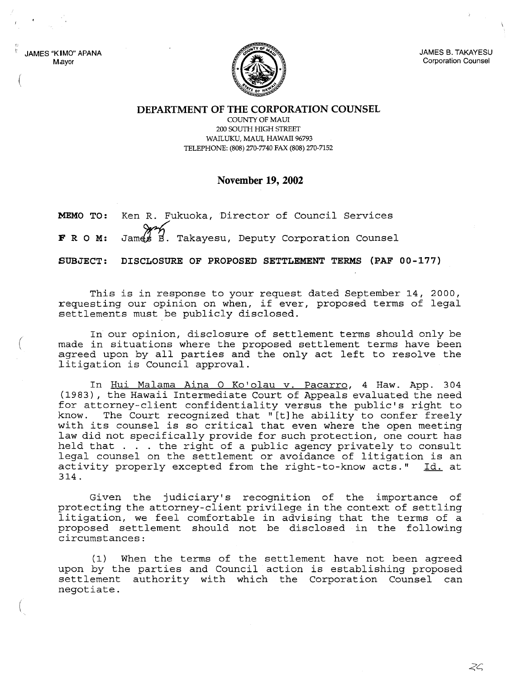JAMES "KIMO" APANA Mayor

!I

(



JAMES B. TAKAYESU Corporation Counsel

**DEPARTMENT OF THE CORPORATION COUNSEL**

COUNTY OF MAUl 200 SOUTH HIGH STREET WAILUKU, MAUl, HAWAII 96793 TELEPHONE: (808) 270-7740 FAX (808) 270-7152

## **November 19, 2002**

**MEMO TO:** Ken R. Fukuoka, Director of Council Services

FRO **M:** James B. Takayesu, Deputy Corporation Counsel

**SUBJECT: DISCLOSURE OF PROPOSED SETTLEMENT TERMS (PAF 00-177)**

This is in response to your request dated September 14, 2000, requesting our opinion on when, if ever, proposed terms of legal settlements must be publicly disclosed.

In our opinion, disclosure of settlement terms should only be made in situations where the proposed settlement terms have been agreed upon by all parties and the only act left to resolve the litigation is Council approval.

In Hui Malama Aina O Ko'olau v. Pacarro, 4 Haw. App. 304 (1983), the Hawaii Intermediate Court of Appeals evaluated the need for attorney-client confidentiality versus the public's right to<br>know. The Court recognized that "[t]he ability to confer freely The Court recognized that "[t] he ability to confer freely with its counsel is so critical that even where the open meeting law did not specifically provide for such protection, one court has held that . . . the right of a public agency privately to consult legal counsel on the settlement or avoidance of litigation is an activity properly excepted from the right-to-know acts." Id. at 314.

Given the judiciary's recognition of the importance of protecting the attorney-client privilege in the context of settling litigation, we feel comfortable in advising that the terms of <sup>a</sup> proposed settlement should not be disclosed in the following circumstances:

(1) When the terms of the settlement have not been agreed upon by the parties and Council action is establishing proposed settlement authority with which the Corporation Counsel can negotiate.

 $\gtrsim$